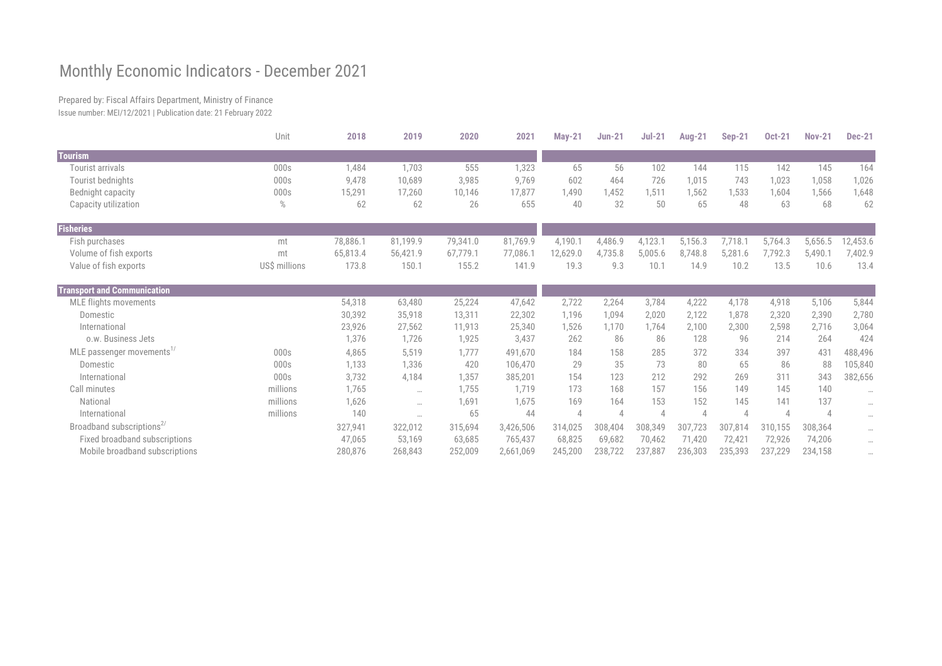## Monthly Economic Indicators - December 2021

Prepared by: Fiscal Affairs Department, Ministry of Finance Issue number: MEI/12/2021 | Publication date: 21 February 2022

|                                       | Unit          | 2018     | 2019      | 2020     | 2021      | <b>May-21</b>  | <b>Jun-21</b>  | $Jul-21$ | <b>Aug-21</b> | <b>Sep-21</b>  | <b>Oct-21</b>  | <b>Nov-21</b>  | <b>Dec-21</b> |
|---------------------------------------|---------------|----------|-----------|----------|-----------|----------------|----------------|----------|---------------|----------------|----------------|----------------|---------------|
| <b>Tourism</b>                        |               |          |           |          |           |                |                |          |               |                |                |                |               |
| Tourist arrivals                      | 000s          | 1,484    | 1,703     | 555      | 1,323     | 65             | 56             | 102      | 144           | 115            | 142            | 145            | 164           |
| Tourist bednights                     | 000s          | 9,478    | 10,689    | 3,985    | 9,769     | 602            | 464            | 726      | 1,015         | 743            | 1,023          | 1,058          | 1,026         |
| Bednight capacity                     | 000s          | 15,291   | 17,260    | 10,146   | 17,877    | 1,490          | 1,452          | 1,511    | 1,562         | 1,533          | 1,604          | 1,566          | 1,648         |
| Capacity utilization                  | $\%$          | 62       | 62        | 26       | 655       | 40             | 32             | 50       | 65            | 48             | 63             | 68             | 62            |
| Fisheries                             |               |          |           |          |           |                |                |          |               |                |                |                |               |
| Fish purchases                        | mt            | 78,886.1 | 81,199.9  | 79,341.0 | 81,769.9  | 4,190.1        | 4,486.9        | 4,123.1  | 5,156.3       | 7,718.         | 5,764.3        | 5,656.5        | 12,453.6      |
| Volume of fish exports                | mt            | 65,813.4 | 56,421.9  | 67,779.1 | 77,086.1  | 12,629.0       | 4,735.8        | 5,005.6  | 8,748.8       | 5,281.6        | 7,792.3        | 5,490.1        | 7,402.9       |
| Value of fish exports                 | US\$ millions | 173.8    | 150.1     | 155.2    | 141.9     | 19.3           | 9.3            | 10.1     | 14.9          | 10.2           | 13.5           | 10.6           | 13.4          |
| <b>Transport and Communication</b>    |               |          |           |          |           |                |                |          |               |                |                |                |               |
| <b>MLE flights movements</b>          |               | 54,318   | 63,480    | 25,224   | 47,642    | 2,722          | 2,264          | 3,784    | 4,222         | 4,178          | 4,918          | 5,106          | 5,844         |
| Domestic                              |               | 30,392   | 35,918    | 13,311   | 22,302    | 1,196          | 1,094          | 2,020    | 2,122         | 1,878          | 2,320          | 2,390          | 2,780         |
| International                         |               | 23,926   | 27,562    | 11,913   | 25,340    | 1,526          | 1,170          | 1,764    | 2,100         | 2,300          | 2,598          | 2,716          | 3,064         |
| o.w. Business Jets                    |               | 1,376    | 1,726     | 1,925    | 3,437     | 262            | 86             | 86       | 128           | 96             | 214            | 264            | 424           |
| MLE passenger movements <sup>1/</sup> | 000s          | 4,865    | 5,519     | 1,777    | 491,670   | 184            | 158            | 285      | 372           | 334            | 397            | 431            | 488,496       |
| Domestic                              | 000s          | 1,133    | 1,336     | 420      | 106,470   | 29             | 35             | 73       | 80            | 65             | 86             | 88             | 105,840       |
| International                         | 000s          | 3,732    | 4,184     | 1,357    | 385,201   | 154            | 123            | 212      | 292           | 269            | 311            | 343            | 382,656       |
| Call minutes                          | millions      | 1,765    | $\cdots$  | 1,755    | 1,719     | 173            | 168            | 157      | 156           | 149            | 145            | 140            | $\cdots$      |
| National                              | millions      | 1,626    | $\cdots$  | 1,691    | 1,675     | 169            | 164            | 153      | 152           | 145            | 141            | 137            | $\cdots$      |
| International                         | millions      | 140      | $\ddotsc$ | 65       | 44        | $\overline{4}$ | $\overline{4}$ |          |               | $\overline{A}$ | $\overline{4}$ | $\overline{4}$ | $\cdots$      |
| Broadband subscriptions <sup>2/</sup> |               | 327,941  | 322,012   | 315,694  | 3,426,506 | 314,025        | 308,404        | 308,349  | 307,723       | 307,814        | 310,155        | 308,364        | $\cdots$      |
| Fixed broadband subscriptions         |               | 47,065   | 53,169    | 63,685   | 765,437   | 68,825         | 69,682         | 70,462   | 71,420        | 72,421         | 72,926         | 74,206         | $\cdots$      |
| Mobile broadband subscriptions        |               | 280,876  | 268,843   | 252,009  | 2,661,069 | 245,200        | 238,722        | 237,887  | 236,303       | 235,393        | 237,229        | 234,158        | $\cdots$      |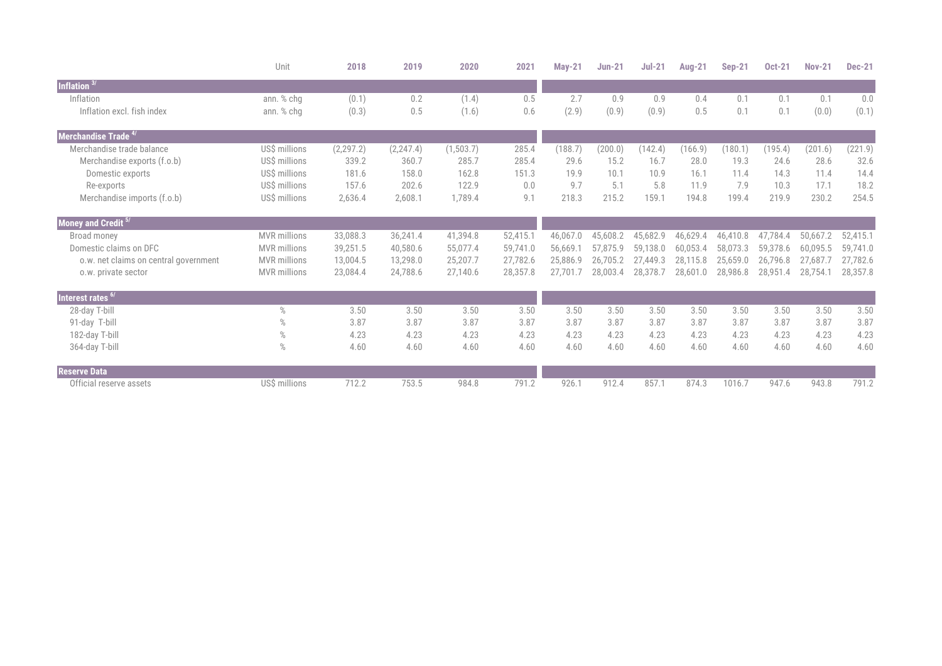|                                       | Unit                | 2018       | 2019       | 2020       | 2021     | <b>May-21</b> | <b>Jun-21</b> | $Jul-21$ | <b>Aug-21</b> | <b>Sep-21</b> | <b>Oct-21</b> | <b>Nov-21</b> | <b>Dec-21</b> |
|---------------------------------------|---------------------|------------|------------|------------|----------|---------------|---------------|----------|---------------|---------------|---------------|---------------|---------------|
| Inflation $3/$                        |                     |            |            |            |          |               |               |          |               |               |               |               |               |
| Inflation                             | ann. % chq          | (0.1)      | 0.2        | (1.4)      | 0.5      | 2.7           | 0.9           | 0.9      | 0.4           | 0.1           | 0.1           | 0.1           | 0.0           |
| Inflation excl. fish index            | ann. % chg          | (0.3)      | 0.5        | (1.6)      | 0.6      | (2.9)         | (0.9)         | (0.9)    | 0.5           | 0.1           | 0.1           | (0.0)         | (0.1)         |
| Merchandise Trade <sup>4/</sup>       |                     |            |            |            |          |               |               |          |               |               |               |               |               |
| Merchandise trade balance             | US\$ millions       | (2, 297.2) | (2, 247.4) | (1, 503.7) | 285.4    | (188.7)       | (200.0)       | (142.4)  | (166.9)       | (180.1)       | (195.4)       | (201.6)       | (221.9)       |
| Merchandise exports (f.o.b)           | US\$ millions       | 339.2      | 360.7      | 285.7      | 285.4    | 29.6          | 15.2          | 16.7     | 28.0          | 19.3          | 24.6          | 28.6          | 32.6          |
| Domestic exports                      | US\$ millions       | 181.6      | 158.0      | 162.8      | 151.3    | 19.9          | 10.1          | 10.9     | 16.1          | 11.4          | 14.3          | 11.4          | 14.4          |
| Re-exports                            | US\$ millions       | 157.6      | 202.6      | 122.9      | 0.0      | 9.7           | 5.1           | 5.8      | 11.9          | 7.9           | 10.3          | 17.1          | 18.2          |
| Merchandise imports (f.o.b)           | US\$ millions       | 2,636.4    | 2,608.1    | 1,789.4    | 9.1      | 218.3         | 215.2         | 159.1    | 194.8         | 199.4         | 219.9         | 230.2         | 254.5         |
| Money and Credit 5/                   |                     |            |            |            |          |               |               |          |               |               |               |               |               |
| Broad money                           | <b>MVR</b> millions | 33,088.3   | 36,241.4   | 41,394.8   | 52,415.1 | 46,067.0      | 45,608.2      | 45,682.9 | 46,629.4      | 46,410.8      | 47,784.4      | 50,667.2      | 52,415.1      |
| Domestic claims on DFC                | <b>MVR</b> millions | 39,251.5   | 40,580.6   | 55,077.4   | 59,741.0 | 56,669.1      | 57,875.9      | 59,138.0 | 60,053.4      | 58,073.3      | 59,378.6      | 60,095.5      | 59,741.0      |
| o.w. net claims on central government | <b>MVR</b> millions | 13,004.5   | 13,298.0   | 25,207.7   | 27,782.6 | 25,886.9      | 26,705.2      | 27,449.3 | 28,115.8      | 25,659.0      | 26,796.8      | 27,687.7      | 27,782.6      |
| o.w. private sector                   | <b>MVR</b> millions | 23,084.4   | 24,788.6   | 27,140.6   | 28,357.8 | 27,701.7      | 28,003.4      | 28,378.7 | 28,601.0      | 28,986.8      | 28,951.4      | 28,754.1      | 28,357.8      |
| Interest rates <sup>6/</sup>          |                     |            |            |            |          |               |               |          |               |               |               |               |               |
| 28-day T-bill                         | $\%$                | 3.50       | 3.50       | 3.50       | 3.50     | 3.50          | 3.50          | 3.50     | 3.50          | 3.50          | 3.50          | 3.50          | 3.50          |
| 91-day T-bill                         | $\%$                | 3.87       | 3.87       | 3.87       | 3.87     | 3.87          | 3.87          | 3.87     | 3.87          | 3.87          | 3.87          | 3.87          | 3.87          |
| 182-day T-bill                        | $\%$                | 4.23       | 4.23       | 4.23       | 4.23     | 4.23          | 4.23          | 4.23     | 4.23          | 4.23          | 4.23          | 4.23          | 4.23          |
| 364-day T-bill                        | $\%$                | 4.60       | 4.60       | 4.60       | 4.60     | 4.60          | 4.60          | 4.60     | 4.60          | 4.60          | 4.60          | 4.60          | 4.60          |
| <b>Reserve Data</b>                   |                     |            |            |            |          |               |               |          |               |               |               |               |               |
| Official reserve assets               | US\$ millions       | 712.2      | 753.5      | 984.8      | 791.2    | 926.1         | 912.4         | 857.1    | 874.3         | 1016.7        | 947.6         | 943.8         | 791.2         |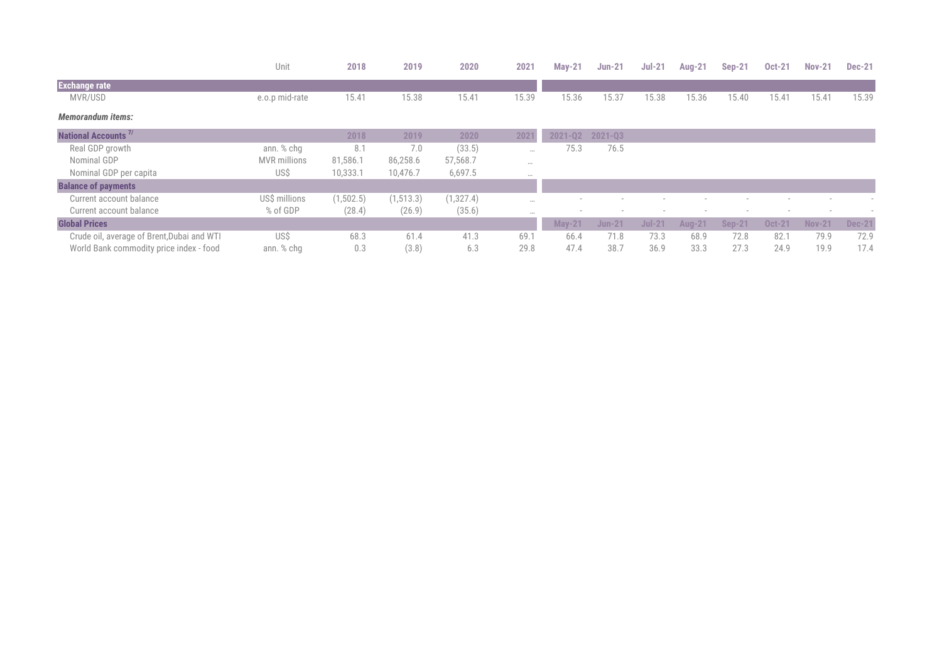|                                            | Unit                | 2018       | 2019       | 2020       | 2021  | $May-21$      | $Jun-21$ | $Jul-21$      | <b>Aug-21</b> | <b>Sep-21</b> | <b>Oct-21</b> | <b>Nov-21</b> | <b>Dec-21</b> |
|--------------------------------------------|---------------------|------------|------------|------------|-------|---------------|----------|---------------|---------------|---------------|---------------|---------------|---------------|
| <b>Exchange rate</b>                       |                     |            |            |            |       |               |          |               |               |               |               |               |               |
| MVR/USD                                    | e.o.p mid-rate      | 15.41      | 15.38      | 15.41      | 15.39 | 15.36         | 15.37    | 15.38         | 15.36         | 15.40         | 15.41         | 15.41         | 15.39         |
| <b>Memorandum items:</b>                   |                     |            |            |            |       |               |          |               |               |               |               |               |               |
| <b>National Accounts<sup>7/</sup></b>      |                     | 2018       | 2019       | 2020       | 2021  | $2021 - Q2$   | 2021-Q3  |               |               |               |               |               |               |
| Real GDP growth                            | ann. % chg          | 8.1        | 7.0        | (33.5)     | 0.0.0 | 75.3          | 76.5     |               |               |               |               |               |               |
| Nominal GDP                                | <b>MVR</b> millions | 81,586.1   | 86,258.6   | 57,568.7   | 0.0.0 |               |          |               |               |               |               |               |               |
| Nominal GDP per capita                     | US\$                | 10,333.1   | 10,476.7   | 6,697.5    | 0.0.0 |               |          |               |               |               |               |               |               |
| <b>Balance of payments</b>                 |                     |            |            |            |       |               |          |               |               |               |               |               |               |
| Current account balance                    | US\$ millions       | (1, 502.5) | (1, 513.3) | (1, 327.4) |       |               |          |               |               |               |               |               |               |
| Current account balance                    | % of GDP            | (28.4)     | (26.9)     | (35.6)     | 0.0.0 |               |          |               |               |               |               |               |               |
| <b>Global Prices</b>                       |                     |            |            |            |       | <b>May-21</b> | $Jun-21$ | <b>Jul-21</b> | <b>Aug-21</b> | <b>Sep-21</b> | <b>Oct-21</b> | <b>Nov-21</b> | <b>Dec-21</b> |
| Crude oil, average of Brent, Dubai and WTI | US\$                | 68.3       | 61.4       | 41.3       | 69.   | 66.4          | 71.8     | 73.3          | 68.9          | 72.8          | 82.1          | 79.9          | 72.9          |
| World Bank commodity price index - food    | ann. % chg          | 0.3        | (3.8)      | 6.3        | 29.8  | 47.4          | 38.7     | 36.9          | 33.3          | 27.3          | 24.9          | 19.9          | 17.4          |